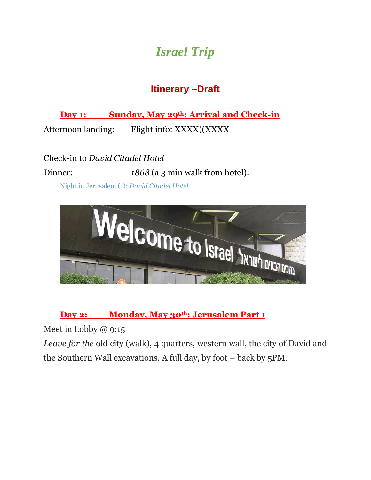# *Israel Trip*

## **Itinerary –Draft**

**Day 1: Sunday, May 29th: Arrival and Check-in** 

Afternoon landing: Flight info: XXXX)(XXXX

Check-in to *David Citadel Hotel* Dinner: *1868* (a 3 min walk from hotel).

Night in Jerusalem (1): *David Citadel Hotel*



#### **Day 2: Monday, May 30th: Jerusalem Part 1**

Meet in Lobby @ 9:15

*Leave for the old city (walk), 4 quarters, western wall, the city of David and* the Southern Wall excavations. A full day, by foot – back by 5PM.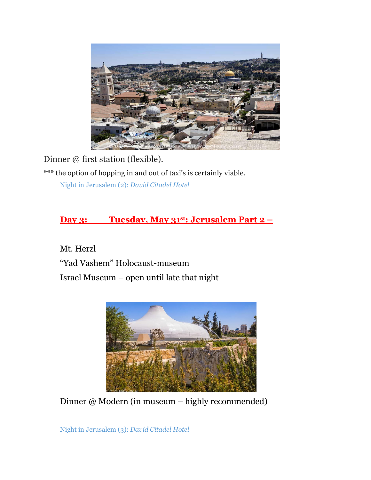

Dinner @ first station (flexible).

\*\*\* the option of hopping in and out of taxi's is certainly viable.

Night in Jerusalem (2): *David Citadel Hotel*

#### **Day 3: Tuesday, May 31st: Jerusalem Part 2 –**

Mt. Herzl "Yad Vashem" Holocaust-museum Israel Museum – open until late that night



Dinner @ Modern (in museum – highly recommended)

Night in Jerusalem (3): *David Citadel Hotel*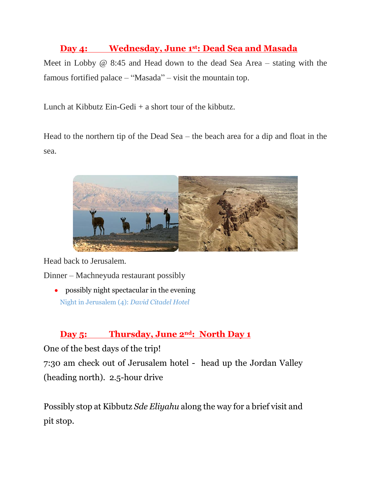#### **Day 4: Wednesday, June 1st: Dead Sea and Masada**

Meet in Lobby @ 8:45 and Head down to the dead Sea Area – stating with the famous fortified palace – "Masada" – visit the mountain top.

Lunch at Kibbutz Ein-Gedi  $+$  a short tour of the kibbutz.

Head to the northern tip of the Dead Sea – the beach area for a dip and float in the sea.



Head back to Jerusalem.

Dinner – Machneyuda restaurant possibly

 possibly night spectacular in the evening Night in Jerusalem (4): *David Citadel Hotel*

#### **Day 5: Thursday, June 2nd: North Day 1**

One of the best days of the trip!

7:30 am check out of Jerusalem hotel - head up the Jordan Valley (heading north). 2.5-hour drive

Possibly stop at Kibbutz *Sde Eliyahu* along the way for a brief visit and pit stop.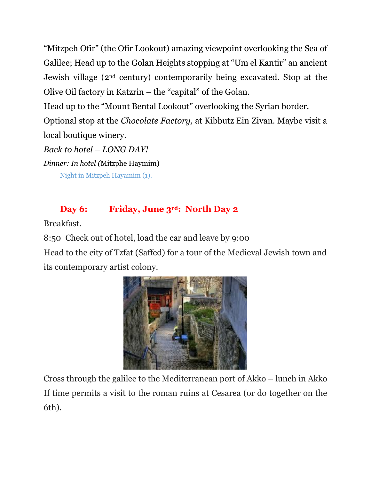"Mitzpeh Ofir" (the Ofir Lookout) amazing viewpoint overlooking the Sea of Galilee; Head up to the Golan Heights stopping at "Um el Kantir" an ancient Jewish village (2nd century) contemporarily being excavated. Stop at the Olive Oil factory in Katzrin – the "capital" of the Golan.

Head up to the "Mount Bental Lookout" overlooking the Syrian border.

Optional stop at the *Chocolate Factory,* at Kibbutz Ein Zivan*.* Maybe visit a local boutique winery.

*Back to hotel – LONG DAY! Dinner: In hotel (*Mitzphe Haymim) Night in Mitzpeh Hayamim (1).

### **Day 6: Friday, June 3rd: North Day 2**

Breakfast.

8:50 Check out of hotel, load the car and leave by 9:00

Head to the city of Tzfat (Saffed) for a tour of the Medieval Jewish town and its contemporary artist colony.



Cross through the galilee to the Mediterranean port of Akko – lunch in Akko If time permits a visit to the roman ruins at Cesarea (or do together on the 6th).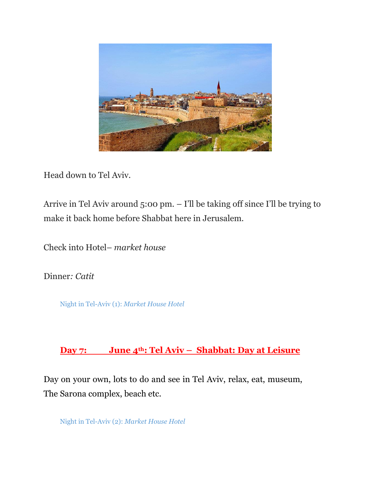

Head down to Tel Aviv.

Arrive in Tel Aviv around 5:00 pm. – I'll be taking off since I'll be trying to make it back home before Shabbat here in Jerusalem.

Check into Hotel– *market house*

Dinner*: Catit* 

Night in Tel-Aviv (1): *Market House Hotel*

#### **Day 7: June 4th: Tel Aviv – Shabbat: Day at Leisure**

Day on your own, lots to do and see in Tel Aviv, relax, eat, museum, The Sarona complex, beach etc.

Night in Tel-Aviv (2): *Market House Hotel*